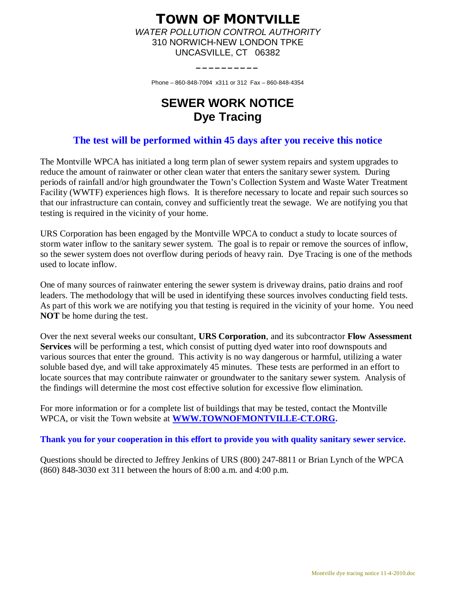## **TOWN OF MONTVILLE** *WATER POLLUTION CONTROL AUTHORITY* 310 NORWICH-NEW LONDON TPKE UNCASVILLE, CT 06382

Phone – 860-848-7094 x311 or 312 Fax – 860-848-4354

**\_\_\_\_\_\_\_\_\_\_**

## **SEWER WORK NOTICE Dye Tracing**

## **The test will be performed within 45 days after you receive this notice**

The Montville WPCA has initiated a long term plan of sewer system repairs and system upgrades to reduce the amount of rainwater or other clean water that enters the sanitary sewer system. During periods of rainfall and/or high groundwater the Town's Collection System and Waste Water Treatment Facility (WWTF) experiences high flows. It is therefore necessary to locate and repair such sources so that our infrastructure can contain, convey and sufficiently treat the sewage. We are notifying you that testing is required in the vicinity of your home.

URS Corporation has been engaged by the Montville WPCA to conduct a study to locate sources of storm water inflow to the sanitary sewer system. The goal is to repair or remove the sources of inflow, so the sewer system does not overflow during periods of heavy rain. Dye Tracing is one of the methods used to locate inflow.

One of many sources of rainwater entering the sewer system is driveway drains, patio drains and roof leaders. The methodology that will be used in identifying these sources involves conducting field tests. As part of this work we are notifying you that testing is required in the vicinity of your home. You need **NOT** be home during the test.

Over the next several weeks our consultant, **URS Corporation**, and its subcontractor **Flow Assessment Services** will be performing a test, which consist of putting dyed water into roof downspouts and various sources that enter the ground. This activity is no way dangerous or harmful, utilizing a water soluble based dye, and will take approximately 45 minutes. These tests are performed in an effort to locate sources that may contribute rainwater or groundwater to the sanitary sewer system. Analysis of the findings will determine the most cost effective solution for excessive flow elimination.

For more information or for a complete list of buildings that may be tested, contact the Montville WPCA, or visit the Town website at **[WWW.TOWNOFMONTVILLE-CT.ORG.](http://WWW.TOWNOFMONTVILLE-CT.ORG./)**

## **Thank you for your cooperation in this effort to provide you with quality sanitary sewer service.**

Questions should be directed to Jeffrey Jenkins of URS (800) 247-8811 or Brian Lynch of the WPCA (860) 848-3030 ext 311 between the hours of 8:00 a.m. and 4:00 p.m.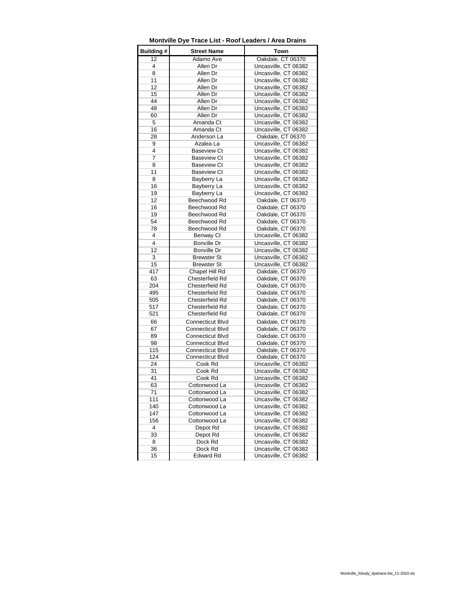| Building# | <b>Street Name</b>      | Town                 |
|-----------|-------------------------|----------------------|
| 12        | Adamo Ave               | Oakdale, CT 06370    |
| 4         | Allen Dr                | Uncasville, CT 06382 |
| 8         | Allen Dr                | Uncasville, CT 06382 |
| 11        | Allen Dr                | Uncasville, CT 06382 |
| 12        | Allen Dr                | Uncasville, CT 06382 |
| 15        | Allen Dr                | Uncasville, CT 06382 |
| 44        | Allen Dr                | Uncasville, CT 06382 |
| 48        | Allen Dr                | Uncasville, CT 06382 |
| 60        | Allen Dr                | Uncasville, CT 06382 |
| 5         | Amanda Ct               | Uncasville, CT 06382 |
| 16        | Amanda Ct               | Uncasville, CT 06382 |
| 28        | Anderson La             | Oakdale, CT 06370    |
| 9         | Azalea La               | Uncasville, CT 06382 |
| 4         | <b>Baseview Ct</b>      | Uncasville, CT 06382 |
| 7         | <b>Baseview Ct</b>      | Uncasville, CT 06382 |
| 8         | <b>Baseview Ct</b>      | Uncasville, CT 06382 |
| 11        | <b>Baseview Ct</b>      | Uncasville, CT 06382 |
| 8         | Bayberry La             | Uncasville, CT 06382 |
| 16        | Bayberry La             | Uncasville, CT 06382 |
| 19        | Bayberry La             | Uncasville, CT 06382 |
| 12        | Beechwood Rd            | Oakdale, CT 06370    |
| 16        | Beechwood Rd            | Oakdale, CT 06370    |
| 19        | Beechwood Rd            | Oakdale, CT 06370    |
| 54        | Beechwood Rd            | Oakdale, CT 06370    |
| 78        | Beechwood Rd            | Oakdale, CT 06370    |
| 4         | Benway Ct               | Uncasville, CT 06382 |
| 4         | Bonville Dr             | Uncasville, CT 06382 |
| 12        | Bonville Dr             | Uncasville, CT 06382 |
| 3         | <b>Brewster St</b>      | Uncasville, CT 06382 |
| 15        | <b>Brewster St</b>      | Uncasville, CT 06382 |
| 417       | Chapel Hill Rd          | Oakdale, CT 06370    |
| 63        | Chesterfield Rd         | Oakdale, CT 06370    |
| 204       | Chesterfield Rd         | Oakdale, CT 06370    |
| 495       | Chesterfield Rd         | Oakdale, CT 06370    |
| 505       | Chesterfield Rd         | Oakdale, CT 06370    |
| 517       | Chesterfield Rd         | Oakdale, CT 06370    |
| 521       | Chesterfield Rd         | Oakdale, CT 06370    |
| 66        | Connecticut Blvd        | Oakdale, CT 06370    |
| 67        | Connecticut Blvd        | Oakdale, CT 06370    |
| 89        | <b>Connecticut Blvd</b> | Oakdale, CT 06370    |
| 98        | Connecticut Blvd        | Oakdale, CT 06370    |
| 115       | Connecticut Blvd        | Oakdale, CT 06370    |
| 124       | Connecticut Blvd        | Oakdale, CT 06370    |
| 24        | Cook Rd                 | Uncasville, CT 06382 |
| 31        | Cook Rd                 | Uncasville, CT 06382 |
| 41        | Cook Rd                 | Uncasville, CT 06382 |
| 63        | Cottonwood La           | Uncasville, CT 06382 |
| 71        | Cottonwood La           | Uncasville, CT 06382 |
| 111       | Cottonwood La           | Uncasville, CT 06382 |
| 140       | Cottonwood La           | Uncasville, CT 06382 |
| 147       | Cottonwood La           | Uncasville, CT 06382 |
| 156       | Cottonwood La           | Uncasville, CT 06382 |
| 4         | Depot Rd                | Uncasville, CT 06382 |
| 33        | Depot Rd                | Uncasville, CT 06382 |
| 8         | Dock Rd                 | Uncasville, CT 06382 |
| 36        | Dock Rd                 | Uncasville, CT 06382 |
| 15        | <b>Edward Rd</b>        | Uncasville, CT 06382 |
|           |                         |                      |

**Montville Dye Trace List - Roof Leaders / Area Drains**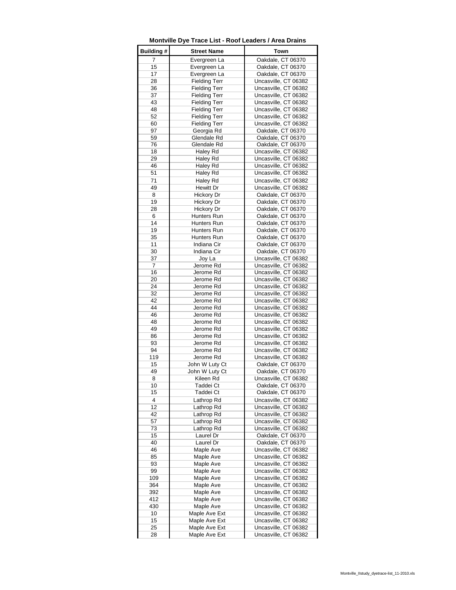| Building#      | <b>Street Name</b>   | Town                 |
|----------------|----------------------|----------------------|
| $\overline{7}$ | Evergreen La         | Oakdale, CT 06370    |
| 15             | Evergreen La         | Oakdale, CT 06370    |
| 17             | Evergreen La         | Oakdale, CT 06370    |
|                |                      |                      |
| 28             | <b>Fielding Terr</b> | Uncasville, CT 06382 |
| 36             | <b>Fielding Terr</b> | Uncasville, CT 06382 |
| 37             | <b>Fielding Terr</b> | Uncasville, CT 06382 |
| 43             | <b>Fielding Terr</b> | Uncasville, CT 06382 |
| 48             | <b>Fielding Terr</b> | Uncasville, CT 06382 |
| 52             | <b>Fielding Terr</b> | Uncasville, CT 06382 |
| 60             | <b>Fielding Terr</b> | Uncasville, CT 06382 |
| 97             | Georgia Rd           | Oakdale, CT 06370    |
| 59             | Glendale Rd          | Oakdale, CT 06370    |
| 76             | Glendale Rd          | Oakdale, CT 06370    |
| 18             | Haley Rd             | Uncasville, CT 06382 |
|                |                      |                      |
| 29             | Haley Rd             | Uncasville, CT 06382 |
| 46             | Haley Rd             | Uncasville, CT 06382 |
| 51             | Haley Rd             | Uncasville, CT 06382 |
| 71             | Haley Rd             | Uncasville, CT 06382 |
| 49             | Hewitt Dr            | Uncasville, CT 06382 |
| 8              | Hickory Dr           | Oakdale, CT 06370    |
| 19             | Hickory Dr           | Oakdale, CT 06370    |
| 28             | <b>Hickory Dr</b>    | Oakdale, CT 06370    |
| 6              | Hunters Run          |                      |
|                |                      | Oakdale, CT 06370    |
| 14             | Hunters Run          | Oakdale, CT 06370    |
| 19             | Hunters Run          | Oakdale, CT 06370    |
| 35             | Hunters Run          | Oakdale, CT 06370    |
| 11             | Indiana Cir          | Oakdale, CT 06370    |
| 30             | Indiana Cir          | Oakdale, CT 06370    |
| 37             | Joy La               | Uncasville, CT 06382 |
| 7              | Jerome Rd            | Uncasville, CT 06382 |
| 16             | Jerome Rd            | Uncasville, CT 06382 |
| 20             | Jerome Rd            | Uncasville, CT 06382 |
| 24             | Jerome Rd            | Uncasville, CT 06382 |
|                | Jerome Rd            |                      |
| 32             |                      | Uncasville, CT 06382 |
| 42             | Jerome Rd            | Uncasville, CT 06382 |
| 44             | Jerome Rd            | Uncasville, CT 06382 |
| 46             | Jerome Rd            | Uncasville, CT 06382 |
| 48             | Jerome Rd            | Uncasville, CT 06382 |
| 49             | Jerome Rd            | Uncasville, CT 06382 |
| 86             | Jerome Rd            | Uncasville, CT 06382 |
| 93             | Jerome Rd            | Uncasville, CT 06382 |
| 94             | Jerome Rd            | Uncasville, CT 06382 |
| 119            | Jerome Rd            | Uncasville, CT 06382 |
| 15             | John W Luty Ct       | Oakdale, CT 06370    |
| 49             | John W Luty Ct       | Oakdale, CT 06370    |
|                |                      |                      |
| 8              | Kileen Rd            | Uncasville, CT 06382 |
| 10             | Taddei Ct            | Oakdale, CT 06370    |
| 15             | Taddei Ct            | Oakdale, CT 06370    |
| 4              | Lathrop Rd           | Uncasville, CT 06382 |
| 12             | Lathrop Rd           | Uncasville, CT 06382 |
| 42             | Lathrop Rd           | Uncasville, CT 06382 |
| 57             | Lathrop Rd           | Uncasville, CT 06382 |
| 73             | Lathrop Rd           | Uncasville, CT 06382 |
| 15             | Laurel Dr            | Oakdale, CT 06370    |
| 40             | Laurel Dr            | Oakdale, CT 06370    |
| 46             | Maple Ave            | Uncasville, CT 06382 |
|                |                      |                      |
| 85             | Maple Ave            | Uncasville, CT 06382 |
| 93             | Maple Ave            | Uncasville, CT 06382 |
| 99             | Maple Ave            | Uncasville, CT 06382 |
| 109            | Maple Ave            | Uncasville, CT 06382 |
| 364            | Maple Ave            | Uncasville, CT 06382 |
| 392            | Maple Ave            | Uncasville, CT 06382 |
| 412            | Maple Ave            | Uncasville, CT 06382 |
| 430            | Maple Ave            | Uncasville, CT 06382 |
| 10             | Maple Ave Ext        | Uncasville, CT 06382 |
| 15             | Maple Ave Ext        | Uncasville, CT 06382 |
| 25             | Maple Ave Ext        | Uncasville, CT 06382 |
|                |                      |                      |
| 28             | Maple Ave Ext        | Uncasville, CT 06382 |

**Montville Dye Trace List - Roof Leaders / Area Drains**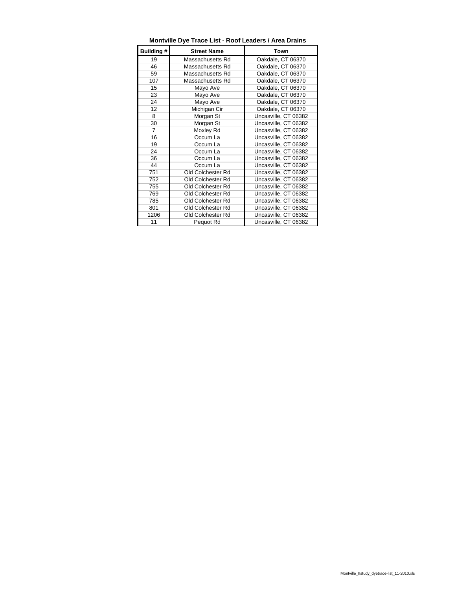| Building #     | <b>Street Name</b> | Town                 |
|----------------|--------------------|----------------------|
| 19             | Massachusetts Rd   | Oakdale, CT 06370    |
| 46             | Massachusetts Rd   | Oakdale, CT 06370    |
| 59             | Massachusetts Rd   | Oakdale, CT 06370    |
| 107            | Massachusetts Rd   | Oakdale, CT 06370    |
| 15             | Mayo Ave           | Oakdale, CT 06370    |
| 23             | Mayo Ave           | Oakdale, CT 06370    |
| 24             | Mayo Ave           | Oakdale, CT 06370    |
| 12             | Michigan Cir       | Oakdale, CT 06370    |
| 8              | Morgan St          | Uncasville, CT 06382 |
| 30             | Morgan St          | Uncasville, CT 06382 |
| $\overline{7}$ | Moxley Rd          | Uncasville, CT 06382 |
| 16             | Occum La           | Uncasville, CT 06382 |
| 19             | Occum La           | Uncasville, CT 06382 |
| 24             | Occum La           | Uncasville, CT 06382 |
| 36             | Occum La           | Uncasville, CT 06382 |
| 44             | Occum La           | Uncasville, CT 06382 |
| 751            | Old Colchester Rd  | Uncasville, CT 06382 |
| 752            | Old Colchester Rd  | Uncasville, CT 06382 |
| 755            | Old Colchester Rd  | Uncasville, CT 06382 |
| 769            | Old Colchester Rd  | Uncasville, CT 06382 |
| 785            | Old Colchester Rd  | Uncasville, CT 06382 |
| 801            | Old Colchester Rd  | Uncasville, CT 06382 |
| 1206           | Old Colchester Rd  | Uncasville, CT 06382 |
| 11             | Pequot Rd          | Uncasville, CT 06382 |

**Montville Dye Trace List - Roof Leaders / Area Drains**